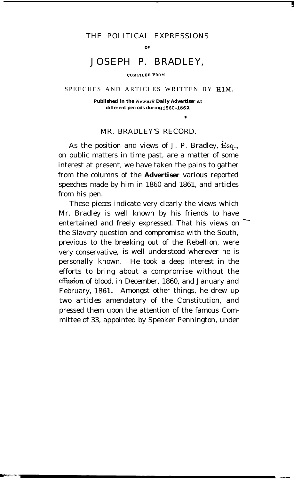# THE POLITICAL EXPRESSIONS

**OF**

# JOSEPH P. BRADLEY,

#### **CO.MPILED FROM**

## SPEECHES AND ARTICLES WRITTEN BY HIM.

**Published in the** *Newark Daily Advertiser at* **different periods during 1860-1862.**

## MR. BRADLEY'S RECORD.

As the position and views of J. P. Bradley,  $\mathbf{\tilde{E}}$ sq., on public matters in time past, are a matter of some interest at present, we have taken the pains to gather from the columns of the *Advertiser* various reported speeches made by him in 1860 and 1861, and articles from his pen.

These pieces indicate very clearly the views which Mr. Bradley is well known by his friends to have entertained and freely expressed. That his views on the Slavery question and compromise with the South, previous to the breaking out of the Rebellion, were very conservative, is well understood wherever he is personally known. He took a deep interest in the efforts to bring about a compromise without the effusion of blood, in December, 1860, and January and February, 1861. Amongst other things, he drew up two articles amendatory of the Constitution, and pressed them upon the attention of the famous Committee of 33, appointed by Speaker Pennington, under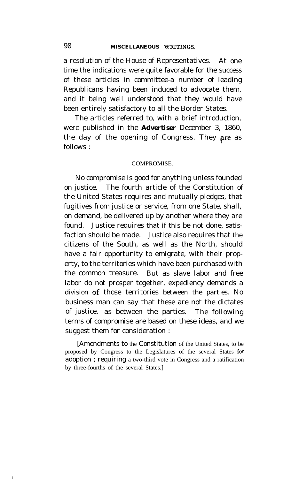a resolution of the House of Representatives. At one time the indications were quite favorable for the success of these articles in committee-a number of leading Republicans having been induced to advocate them, and it being well understood that they would have been entirely satisfactory to all the Border States.

The articles referred to, with a brief introduction, were published in the *Advertiser* December 3, 1860, the day of the opening of Congress. They are as follows : I

## COMPROMISE.

No compromise is good for anything unless founded on justice. The fourth article of the Constitution of the United States requires and mutually pledges, that fugitives from justice or service, from one State, shall, on demand, be delivered up by another where they are found. Justice requires that if this be not done, satisfaction should be made. Justice also requires that the citizens of the South, as well as the North, should have a fair opportunity to emigrate, with their property, to the territories which have been purchased with the common treasure. But as slave labor and free labor do not prosper together, expediency demands a division of those territories between the parties. No business man can say that these are not the dictates of justice, as between the parties. The following terms of compromise are based on these ideas, and we suggest them for consideration :

[Amendments to the Constitution of the United States, to be proposed by Congress to the Legislatures of the several States for adoption ; requiring a two-third vote in Congress and a ratification by three-fourths of the several States.]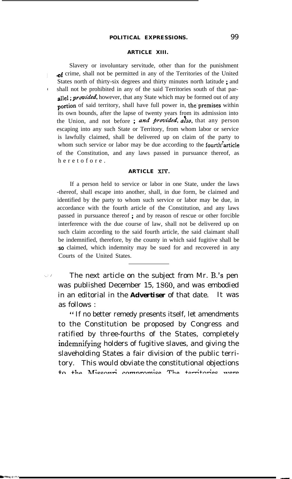#### **ARTICLE XIII.**

Slavery or involuntary servitude, other than for the punishment of crime, shall not be permitted in any of the Territories of the United States north of thirty-six degrees and thirty minutes north latitude ; and shall not be prohibited in any of the said Territories south of that parallel; *provided*, however, that any State which may be formed out of any .portion of said territory, shall have full power in, the'premises within its own bounds, after the lapse of twenty years from its admission into the Union, and not before; and *provided*, also, that any person escaping into any such State or Territory, from whom labor or service is lawfully claimed, shall be delivered up on claim of the party to whom such service or labor may be due according to the **fourth** article of the Constitution, and any laws passed in pursuance thereof, as heretofore.

#### **ARTICLE Xl?.**

If a person held to service or labor in one State, under the laws -thereof, shall escape into another, shall, in due form, be claimed and identified by the party to whom such service or labor may be due, in accordance with the fourth article of the Constitution, and any laws passed in pursuance thereof ; and by reason of rescue or other forcible interference with the due course of law, shall not be delivered up on such claim according to the said fourth article, the said claimant shall be indemnified, therefore, by the county in which said fugitive shall be so claimed, which indemnity may be sued for and recovered in any Courts of the United States.

 $\vee$  / The next article on the subject from Mr. B.'s pen was published December 15, 1330, and was embodied in an editorial in the *Advertiser* of that date. It was as follows :

" If no better remedy presents itself, let amendments to the Constitution be proposed by Congress and ratified by three-fourths of the States, completely indemnifying holders of fugitive slaves, and giving the slaveholding States a fair division of the public territory. This would obviate the constitutional objections *tn +he Missouri compromise* The *territories TXIPP*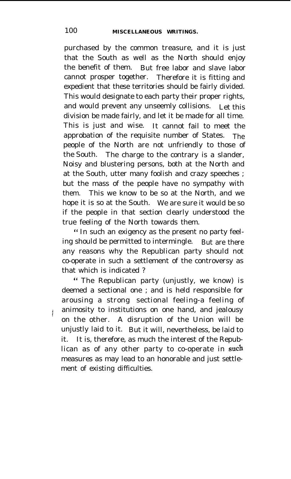purchased by the common treasure, and it is just that the South as well as the North should enjoy the benefit of them. But free labor and slave labor cannot prosper together. Therefore it is fitting and expedient that these territories should be fairly divided. This would designate to each party their proper rights, and would prevent any unseemly collisions. Let this division be made fairly, and let it be made for all time. This is just and wise. It cannot fail to meet the approbation of the requisite number of States. The people of the North are not unfriendly to those of the South. The charge to the contrary is a slander, Noisy and blustering persons, both at the North and at the South, utter many foolish and crazy speeches ; but the mass of the people have no sympathy with them. This we know to be so at the North, and we hope it is so at the South. We are sure it would be so if the people in that section clearly understood the true feeling of the North towards them.

" In such an exigency as the present no party feeling should be permitted to intermingle. But are there any reasons why the Republican party should not co-operate in such a settlement of the controversy as that which is indicated ?

" The Republican party (unjustly, we know) is deemed a sectional one ; and is held responsible for arousing a strong sectional feeling-a feeling of animosity to institutions on one hand, and jealousy on the other. A disruption of the Union will be unjustly laid to it. But it will, nevertheless, be laid to it. It is, therefore, as much the interest of the Republican as of any other party to co-operate in **such** measures as may lead to an honorable and just settlement of existing difficulties.

I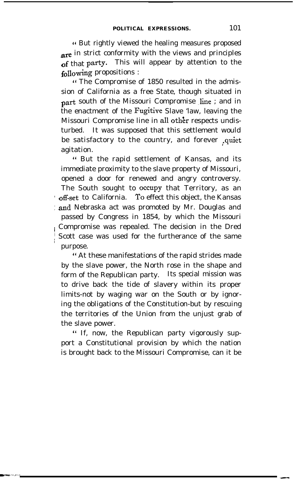4' But rightly viewed the healing measures proposed are in strict conformity with the views and principles of that party. This will appear by attention to the following propositions :

4' The Compromise of 1850 resulted in the admission of California as a free State, though situated in part south of the Missouri Compromise line ; and in the enactment of the Fugitive Slave 'law, leaving the Missouri Compromise line in all other respects undisturbed. It was supposed that this settlement would be satisfactory to the country, and forever .quiet agitation.

" But the rapid settlement of Kansas, and its immediate proximity to the slave property of Missouri, opened a door for renewed and angry controversy. The South sought to occupy that Territory, as an off-set to California. To effect this object, the Kansas : and Nebraska act was promoted by Mr. Douglas and passed by Congress in 1854, by which the Missouri Compromise was repealed. The decision in the Dred Scott case was used for the furtherance of the same purpose.

" At these manifestations of the rapid strides made by the slave power, the North rose in the shape and form of the Republican party. Its special mission was to drive back the tide of slavery within its proper limits-not by waging war on the South or by ignoring the obligations of the Constitution-but by rescuing the territories of the Union from the unjust grab of the slave power.

" If, now, the Republican party vigorously support a Constitutional provision by which the nation is brought back to the Missouri Compromise, can it be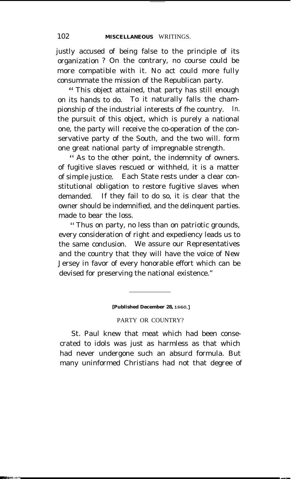justly accused of being false to the principle of its organization ? On the contrary, no course could be more compatible with it. No act could more fully consummate the mission of the Republican party.

" This object attained, that party has still enough on its hands to do. To it naturally falls the championship of the industrial interests of fhe country. In. the pursuit of this object, which is purely a national one, the party will receive the co-operation of the conservative party of the South, and the two will. form one great national party of impregnable strength.

" As to the other point, the indemnity of owners. of fugitive slaves rescued or withheld, it is a matter of simple justice. Each State rests under a clear constitutional obligation to restore fugitive slaves when demanded. If they fail to do so, it is clear that the owner should be indemnified, and the delinquent parties. made to bear the loss.

" Thus on party, no less than on patriotic grounds, every consideration of right and expediency leads us to the same conclusion. We assure our Representatives and the country that they will have the voice of New Jersey in favor of every honorable effort which can be devised for preserving the national existence."

### **[Published December 28, ISSO.]**

## PARTY OR COUNTRY?

St. Paul knew that meat which had been consecrated to idols was just as harmless as that which had never undergone such an absurd formula. But many uninformed Christians had not that degree of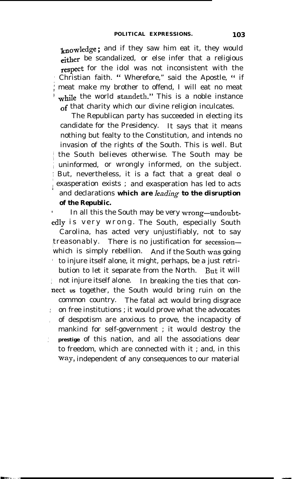*knowledge ;* and if they saw him eat it, they would either be scandalized, or else infer that a religious **respect** for the idol was not inconsistent with the ; Christian faith. " Wherefore," said the Apostle, " if 1 meat make my brother to offend, I will eat no meat while the world standeth." This is a noble instance of that charity which our divine religion inculcates.

The Republican party has succeeded in electing its candidate for the Presidency. It says that it means nothing but fealty to the Constitution, and intends no invasion of the rights of the South. This is well. But the South believes otherwise. The South may be uninformed, or wrongly informed, on the subject. ; But, nevertheless, it is a fact that a great deal o exasperation exists ; and exasperation has led to acts and declarations *which are Ieading to the disruption of the Republic.*

3

*I* In all this the South may be very wrong-undoubtedly is very wrong. The South, especially South Carolina, has acted very unjustifiably, not to say treasonably. There is no justification for secessionwhich is simply rebellion. And if the South was going ' to injure itself alone, it might, perhaps, be a just retribution to let it separate from the North. But it will <sup>1</sup> not injure itself alone. In breaking the ties that connect us together, the South would bring ruin on the common country. The fatal act would bring disgrace on free institutions ; it would prove what the advocates , of despotism are anxious to prove, the incapacity of mankind for self-government ; it would destroy the : **prestige** of this nation, and all the associations dear to freedom, which are connected with it ; and, in this way, independent of any consequences to our material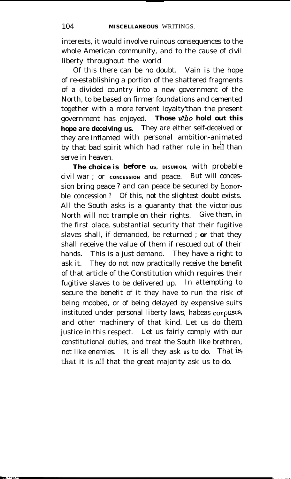interests, it would involve ruinous consequences to the whole American community, and to the cause of civil liberty throughout the world

Of this there can be no doubt. Vain is the hope of re-establishing a portion of the shattered fragments of a divided country into a new government of the North, to be based on firmer foundations and cemented together with a more fervent loyalty'than the present government has enjoyed. **Those who hold out this** *hope are deceiving us.* They are either self-deceived or they are inflamed with personal ambition-animated by that bad spirit which had rather rule in heil than serve in heaven.

*The choice is before* **us, DISUNION,** with probable civil war ; or concession and peace. But will concession bring peace ? and can peace be secured by honorble concession ? Of this, not the slightest doubt exists. All the South asks is a guaranty that the victorious North will not trample on their rights. Give them, in the first place, substantial security that their fugitive slaves shall, if demanded, be returned ; *or* that they shall receive the value of them if rescued out of their hands. This is a just demand. They have a right to ask it. They do not now practically receive the benefit of that article of the Constitution which requires their fugitive slaves to be delivered up. In attempting to secure the benefit of it they have to run the risk of being mobbed, or of being delayed by expensive suits instituted under personal liberty laws, habeas corpuses, and other machinery of that kind. Let us do them justice in this respect. Let us fairly comply with our constitutional duties, and treat the South like brethren, not like enemies. It is all they ask *us* to do. That is, -that it is all that the great majority ask us to do.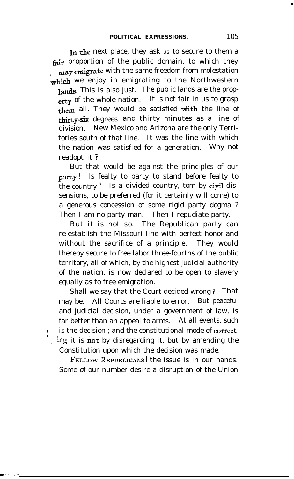In the next place, they ask us to secure to them a fair proportion of the public domain, to which they may emigrate with the same freedom from molestation which we enjoy in emigrating to the Northwestern lands. This is also just. The public lands are the property of the whole nation. It is not fair in us to grasp them all. They would be satisfied with the line of **airty-six** degrees and thirty minutes as a line of division. New Mexico and Arizona are the only Territories south of that line. It was the line with which the nation was satisfied for a generation. Why not readopt it ?

But that would be against the principles of our party ! Is fealty to party to stand before fealty to the country ? Is a divided country, tom by civil dissensions, to be preferred (for it certainly will come) to a generous concession of some rigid party dogma ? Then I am no party man. Then I repudiate party.

But it is not so. The Republican party can re-establish the Missouri line with perfect honor-and without the sacrifice of a principle. They would thereby secure to free labor three-fourths of the public territory, all of which, by the highest judicial authority of the nation, is now declared to be open to slavery equally as to free emigration.

Shall we say that the Court decided wrong ? That may be. All Courts are liable to error. But peaceful and judicial decision, under a government of law, is far better than an appeal to arms. At all events, such is the decision ; and the constitutional mode of correcting it is not by disregarding it, but by amending the Constitution upon which the decision was made.

**FELLOWREPUBLICANS!** the issue is in our hands. Some of our number desire a disruption of the Union

**In the case of the case of the case of the case of the case of the case of the case of the case of the case of the case of the case of the case of the case of the case of the case of the case of the case of the case of th**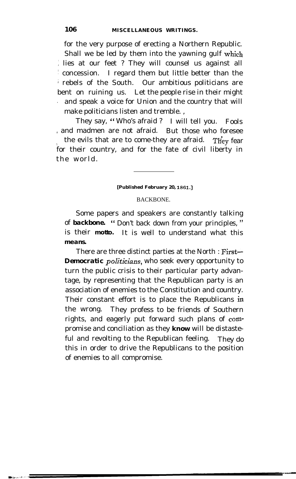for the very purpose of erecting a Northern Republic. Shall we be led by them into the yawning gulf which 1 lies at our feet ? They will counsel us against all ( concession. I regard them but little better than the i rebels of the South. Our ambitious politicians are bent on ruining us. Let the people rise in their might and speak a voice for Union and the country that will make politicians listen and tremble. ,

They say, " Who's afraid ? I will tell you. Fools i and madmen are not afraid. But those who foresee for their country, and for the fate of civil liberty in the evils that are to come-they are afraid. They fear the world.

#### [Published February 20, 1861.]

## BACKBONE.

Some papers and speakers are constantly talking of *backbone.* " Don't back down from your principles, " is their **motto.** It is well to understand what this **means.**

There are three distinct parties at the North : First-*Democratic pol'iticians,* who seek every opportunity to turn the public crisis to their particular party advantage, by representing that the Republican party is an association of enemies to the Constitution and country. Their constant effort is to place the Republicans in the wrong. They profess to be friends of Southern rights, and eagerly put forward such plans of compromise and conciliation as they *know* will be distasteful and revolting to the Republican feeling. They do this in order to drive the Republicans to the position of enemies to all compromise.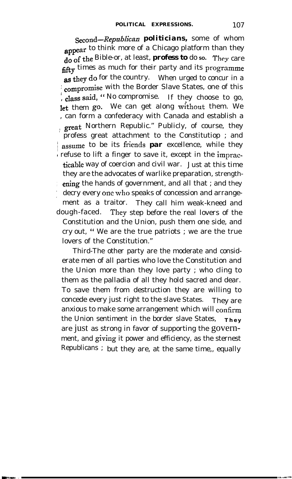Second-Republican *politicians*, some of whom appear to think more of a Chicago platform than they do of the Bible-or, at least, **profess to** do so. They care fifty times as much for their party and its programme as they do for the country. When urged to concur in a compromise with the Border Slave States, one of this  $\frac{1}{2}$ , class said, " No compromise. If they choose to go, let them go. We can get along without them. We , can form a confederacy with Canada and establish a great Northern Republic." Publicly, of course, they profess great attachment to the Constitutiop ; and **assume** to be its friends **par** excellence, while they refuse to lift a finger to save it, except in the impracticable way of coercion and civil war. Just at this time they are the advocates of warlike preparation, strength ening the hands of government, and all that; and they decry every one who speaks of concession and arrangement as a traitor. They call him weak-kneed and dough-faced. They step before the real lovers of the Constitution and the Union, push them one side, and cry out, " We are the true patriots ; we are the true lovers of the Constitution."

Third-The other party are the moderate and considerate men of all parties who love the Constitution and the Union more than they love party ; who cling to them as the palladia of all they hold sacred and dear. To save them from destruction they are willing to concede every just right to the slave States. They are anxious to make some arrangement which will confirm the Union sentiment in the border slave States, **They** are just as strong in favor of supporting the government, and giving it power and efficiency, as the sternest Republicans ; but they are, at the same time,, equally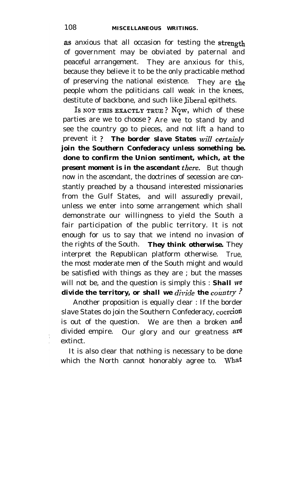as anxious that all occasion for testing the strength of government may be obviated by paternal and peaceful arrangement. They are anxious for this, because they believe it to be the only practicable method of preserving the national existence. They are the people whom the politicians call weak in the knees, destitute of backbone, and such like Jiberal epithets.

Is NOT THIS EXACTLY TRUE? NOW, which of these parties are we to choose ? Are we to stand by and see the country go to pieces, and not lift a hand to prevent it ? **The border slave States** will *certainly join the Southern Confederacy unless something be. done to confirm the Union sentiment, which, at the present moment is in the ascendant there.* But though now in the ascendant, the doctrines of secession are constantly preached by a thousand interested missionaries from the Gulf States, and will assuredly prevail, unless we enter into some arrangement which shall demonstrate our willingness to yield the South a fair participation of the public territory. It is not enough for us to say that we intend no invasion of the rights of the South. *They think otherwise.* They interpret the Republican platform otherwise. True, the most moderate men of the South might and would be satisfied with things as they are ; but the masses will not be, and the question is simply this : **Shall we** *divide the territory, or shall we divide the country?* 

Another proposition is equally clear : If the border slave States do join the Southern Confederacy, coercion is out of the question. We are then a broken and divided empire. Our glory and our greatness are extinct.

It is also clear that nothing is necessary to be done which the North cannot honorably agree to. What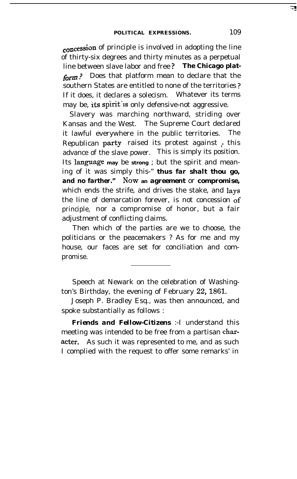eoncession of principle is involved in adopting the line of thirty-six degrees and thirty minutes as a perpetual line between slave labor and free *? The Chicago plat*form? Does that platform mean to declare that the southern States are entitled to none of the territories ? If it does, it declares a solecism. Whatever its terms may be, its spirit is only defensive-not aggressive.

Slavery was marching northward, striding over Kansas and the West. The Supreme Court declared it lawful everywhere in the public territories. The Republican party raised its protest against ; this advance of the slave power. This is simply its position. Its language may be strong ; but the spirit and meaning of it was simply this-" *thus far shalt thou go, and no farther." Now* **an** *agreement* or *compromise,* which ends the strife, and drives the stake, and **lays** the line of demarcation forever, is not concession of principle, nor a compromise of honor, but a fair adjustment of conflicting claims.

Then which of the parties are we to choose, the politicians or the peacemakers ? As for me and my house, our faces are set for conciliation and compromise.

Speech at Newark on the celebration of Washington's Birthday, the evening of February 22,186l.

Joseph P. Bradley Esq., was then announced, and spoke substantially as follows :

*Friends and Fellow-Citizens* :-I understand this meeting was intended to be free from a partisan character. As such it was represented to me, and as such I complied with the request to offer some remarks' in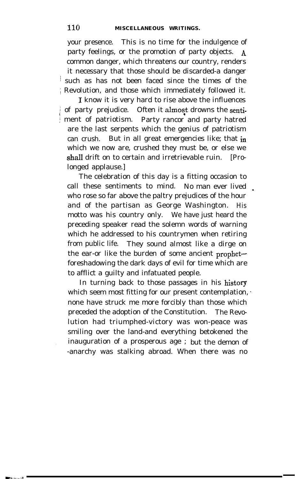your presence. This is no time for the indulgence of party feelings, or the promotion of party objects. A common danger, which threatens our country, renders it necessary that those should be discarded-a danger / such as has not been faced since the times of the i Revolution, and those which immediately followed it.

I know it is very hard to rise above the influences  $\frac{1}{3}$  of party prejudice. Often it almost drowns the senti-/ ment of patriotism. Party rancor and party hatred are the last serpents which the genius of patriotism can crush. But in all great emergencies like; that in which we now are, crushed they must be, or else we shall drift on to certain and irretrievable ruin. [Prolonged applause.]

The celebration of this day is a fitting occasion to call these sentiments to mind. No man ever lived who rose so far above the paltry prejudices of the hour and of the partisan as George Washington. His motto was his country only. We have just heard the preceding speaker read the solemn words of warning which he addressed to his countrymen when retiring from public life. They sound almost like a dirge on the ear-or like the burden of some ancient prophetforeshadowing the dark days of evil for time which are to afflict a guilty and infatuated people.

.

In turning back to those passages in his history which seem most fitting for our present contemplation, none have struck me more forcibly than those which preceded the adoption of the Constitution. The Revolution had triumphed-victory was won-peace was smiling over the land-and everything betokened the inauguration of a prosperous age ; but the demon of -anarchy was stalking abroad. When there was no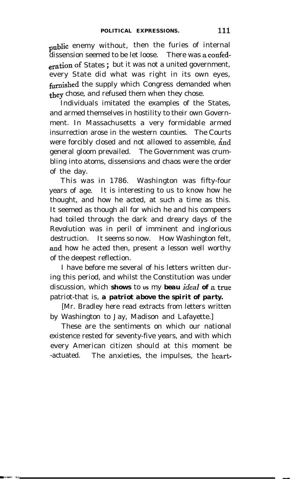public enemy without, then the furies of internal dissension seemed to be let loose. There was a confedcration **of** States ; but it was not a united government, every State did what was right in its own eyes, furnished the supply which Congress demanded when they chose, and refused them when they chose.

Individuals imitated the examples of the States, and armed themselves in hostility to their own Government. In Massachusetts a very formidable armed insurrection arose in the western counties. The Courts were forcibly closed and not allowed to assemble, and general gloom prevailed. The Government was crumbling into atoms, dissensions and chaos were the order of the day.

This was in 1786. Washington was fifty-four years of age. It is interesting to us to know how he thought, and how he acted, at such a time as this. It seemed as though all for which he and his compeers had toiled through the dark and dreary days of the Revolution was in peril of imminent and inglorious destruction. It seems so now. How Washington felt, and how he acted then, present a lesson well worthy of the deepest reflection.

I have before me several of his letters written during this period, and whilst the Constitution was under discussion, which **shows** to us my **beau** ideal of a true patriot-that is, *a patriot above the spirit of party.*

[Mr. Bradley here read extracts from letters written by Washington to Jay, Madison and Lafayette.]

These are the sentiments on which our national existence rested for seventy-five years, and with which every American citizen should at this moment be -actuated. The anxieties, the impulses, the heart-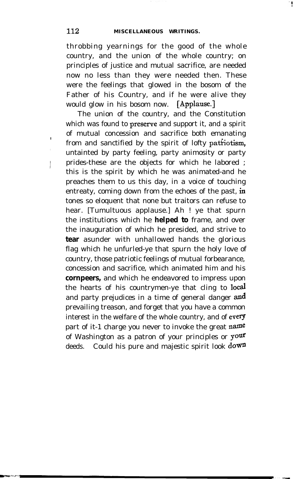throbbing yearnings for the good of the whole country, and the union of the whole country; on principles of justice and mutual sacrifice, are needed now no less than they were needed then. These were the feelings that glowed in the bosom of the Father of his Country, and if he were alive they would glow in his bosom now. [Applause.]

The union of the country, and the Constitution which was found to preserve and support it, and a spirit of mutual concession and sacrifice both emanating from and sanctified by the spirit of lofty patriotism, untainted by party feeling, party animosity or party <sup>I</sup> prides-these are the objects for which he labored ; this is the spirit by which he was animated-and he preaches them to us this day, in a voice of touching entreaty, coming down from the echoes of the past, in tones so eloquent that none but traitors can refuse to hear. [Tumultuous applause.] Ah ! ye that spurn the institutions which he **helped to** frame, and over the inauguration of which he presided, and strive to **tear** asunder with unhallowed hands the glorious flag which he unfurled-ye that spurn the holy love of country, those patriotic feelings of mutual forbearance, concession and sacrifice, which animated him and his **cornpeers,** and which he endeavored to impress upon the hearts of his countrymen-ye that cling to local and party prejudices in a time of general danger and prevailing treason, and forget that you have a common interest in the welfare of the whole country, and of every part of it-1 charge you never to invoke the great **name** of Washington as a patron of your principles or your deeds. Could his pure and majestic spirit look down

<sup>I</sup>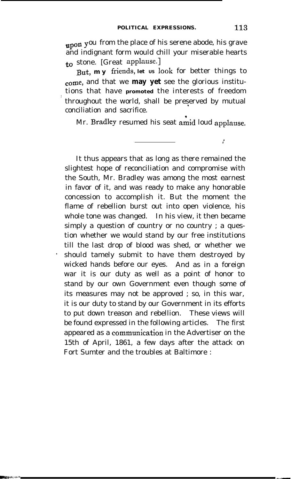**upon Y** ou from the place of his serene abode, his grave and indignant form would chill your miserable hearts to stone. [Great **applause.1**

But, my friends, let us look for better things to come, and that we **may yet** see the glorious institutions that have **promoted** the interests of freedom throughout the world, shall be preserved by mutual conciliation and sacrifice.

Mr. **Bradley** resumed his seat amid loud applause.

It thus appears that as long as there remained the slightest hope of reconciliation and compromise with the South, Mr. Bradley was among the most earnest in favor of it, and was ready to make any honorable concession to accomplish it. But the moment the flame of rebellion burst out into open violence, his whole tone was changed. In his view, it then became simply a question of country or no country ; a question whether we would stand by our free institutions till the last drop of blood was shed, or whether we should tamely submit to have them destroyed by wicked hands before our eyes. And as in a foreign war it is our duty as well as a point of honor to stand by our own Government even though some of its measures may not be approved ; so, in this war, it is our duty to stand by our Government in its efforts to put down treason and rebellion. These views will be found expressed in the following articles. The first appeared as a communication in the Advertiser on the 15th of April, 1861, a few days after the attack on Fort Sumter and the troubles at Baltimore :

 $\mathbf{r}$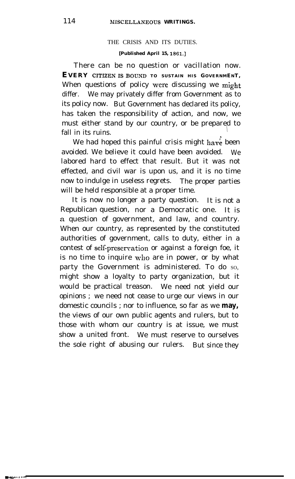# THE CRISIS AND ITS DUTIES.

# **[Published April 15, lSSl.]**

There can be no question or vacillation now. **EVERY CITIZENISBOUND TO SUSTAIN HIS GOVERNMENT ,** When questions of policy were discussing we might differ. We may privately differ from Government as to its policy now. But Government has declared its policy, has taken the responsibility of action, and now, we must either stand by our country, or be prepared to fall in its ruins.

We had hoped this painful crisis might have been avoided. We believe it could have been avoided. We labored hard to effect that result. But it was not effected, and civil war is upon us, and it is no time now to indulge in useless regrets. The proper parties will be held responsible at a proper time.

It is now no longer a party question. It is not a Republican question, nor a Democratic one. It is a question of government, and law, and country. When our country, as represented by the constituted authorities of government, calls to duty, either in a contest of self-preservation or against a foreign foe, it is no time to inquire who are in power, or by what party the Government is administered. To do so, might show a loyalty to party organization, but it would be practical treason. We need not yield our opinions ; we need not cease to urge our views in our domestic councils ; nor to influence, so far as we **may,** the views of our own public agents and rulers, but to those with whom our country is at issue, we must show a united front. We must reserve to ourselves the sole right of abusing our rulers. But since they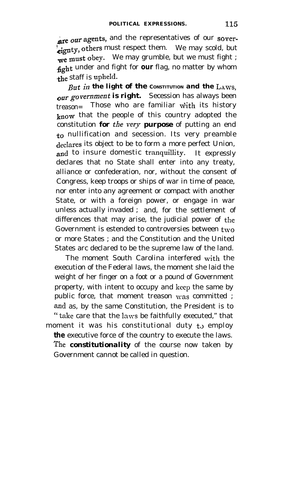are our agents, and the representatives of our soverfiguration, others must respect them. We may scold, but we must obey. We may grumble, but we must fight ; fight under and fight for **our** flag, no matter by whom the staff is upheld.

*But in the light of the* **CONSTITUTION** *and the LAWS, Our government is right.* Secession has always been  $t$ reason= Those who are familiar with its history know that the people of this country adopted the constitution *for* the very *purpose* of putting an end to nullification and secession. Its very preamble declares its object to be to form a more perfect Union, and to insure domestic tranquillity. It expressly declares that no State shall enter into any treaty, alliance or confederation, nor, without the consent of Congress, keep troops or ships of war in time of peace, nor enter into any agreement or compact with another State, or with a foreign power, or engage in war unless actually invaded ; and, for the settlement of differences that may arise, the judicial power of the Government is estended to controversies between two or more States ; and the Constitution and the United States arc declared to be the supreme law of the land.

The moment South Carolina interfered with the execution of the Federal laws, the moment she laid the weight of her finger on a foot or a pound of Government property, with intent to occupy and keep the same by public force, that moment treason was committed ; and as, by the same Constitution, the President is to "take care that the laws be faithfully executed," that moment it was his constitutional duty  $t_0$  employ **the** executive force of the country to execute the laws. *The constitutionality* of the course now taken by Government cannot be called in question.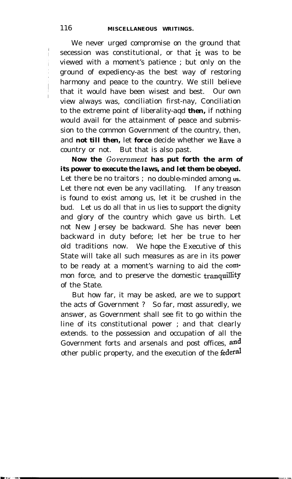We never urged compromise on the ground that secession was constitutional, or that it was to be viewed with a moment's patience ; but only on the ground of expediency-as the best way of restoring harmony and peace to the country. We still believe that it would have been wisest and best. Our own view always was, conciliation first-nay, Conciliation to the extreme point of liberality-aqd *then,* if nothing would avail for the attainment of peace and submission to the common Government of the country, then, and *not till then,* let *force* decide whether we have a country or not. But that is also past.

*Now the .Government has put forth the arm of its power to execute the laws, and let them be obeyed.* Let there be no traitors; no double-minded among us. Let there not even be any vacillating. If any treason is found to exist among us, let it be crushed in the bud. Let us do all that in us lies to support the dignity and glory of the country which gave us birth. Let not New Jersey be backward. She has never been backward in duty before; let her be true to her old traditions now. We hope the Executive of this State will take all such measures as are in its power to be ready at a moment's warning to aid the common force, and to preserve the domestic tranquillity of the State.

But how far, it may be asked, are we to support the acts of Government ? So far, most assuredly, we answer, as Government shall see fit to go within the line of its constitutional power ; and that clearly extends. to the possession and occupation of all the Government forts and arsenals and post offices, and other public property, and the execution of the federal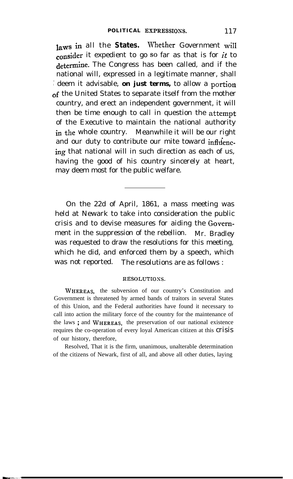laws in all the States. Whether Government will consider it expedient to go so far as that is for  $it$  to determine. The Congress has been called, and if the national will, expressed in a legitimate manner, shall / deem it advisable, *on just terms,* to allow a **portion** of the United States to separate itself from the mother country, and erect an independent government, it will then be time enough to call in question the **attempt** of the Executive to maintain the national authority in the whole country. Meanwhile it will be our right and our duty to contribute our mite toward influencing that national will in such direction as each of us, having the good of his country sincerely at heart, may deem most for the public welfare.

On the 22d of April, 1861, a mass meeting was held at Newark to take into consideration the public crisis and to devise measures for aiding the Govemment in the suppression of the rebellion. Mr. Bradley was requested to draw the resolutions for this meeting, which he did, and enforced them by a speech, which was not reported. The resolutions are as follows :

### **RESOLUTIOSS.**

**WHEREAS,** the subversion of our country's Constitution and Government is threatened by armed bands of traitors in several States of this Union, and the Federal authorities have found it necessary to call into action the military force of the country for the maintenance of the laws ; and **WHEREAS,** the preservation of our national existence requires the co-operation of every loyal American citizen at this crisis of our history, therefore,

Resolved, That it is the firm, unanimous, unalterable determination of the citizens of Newark, first of all, and above all other duties, laying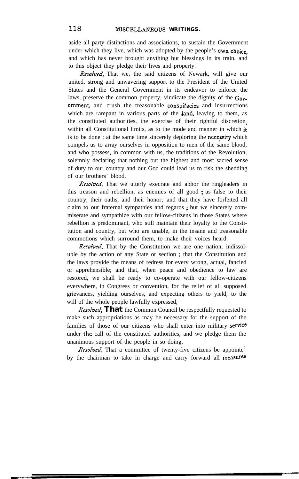aside all party distinctions and associations, to sustain the Government under which they live, which was adopted by the people's own choice. and which has never brought anything but blessings in its train, and to this object they pledge their lives and property.

Resolved, That we, the said citizens of Newark, will give our united, strong and unwavering support to the President of the United States and the General Government in its endeavor to enforce the laws, preserve the common property, vindicate the dignity of the Government, and crush the treasonable conspitacies and insurrections which are rampant in various parts of the land, leaving to them, as the constituted authorities, the exercise of their rightful discretion within all Constitutional limits, as to the mode and manner in which it is to be done; at the same time sincerely deploring the necessity which compels us to array ourselves in opposition to men of the same blood, and who possess, in common with us, the traditions of the Revolution, solemnly declaring that nothing but the highest and most sacred sense of duty to our country and our God could lead us to risk the shedding of our brothers' blood.

Resolved, That we utterly execrate and abhor the ringleaders in this treason and rebellion, as enemies of all good ; as false to their country, their oaths, and their honor; and that they have forfeited all claim to our fraternal sympathies and regards ; but we sincerely commiserate and sympathize with our fellow-citizens in those States where rebellion is predominant, who still maintain their loyalty to the Constitution and country, but who are unable, in the insane and treasonable commotions which surround them, to make their voices heard.

Resolved, That by the Constitution we are one nation, indissoluble by the action of any State or section ; that the Constitution and the laws provide the means of redress for every wrong, actual, fancied or apprehensible; and that, when peace and obedience to law are restored, we shall be ready to co-operate with our fellow-citizens everywhere, in Congress or convention, for the relief of all supposed grievances, yielding ourselves, and expecting others to yield, to the will of the whole people lawfully expressed,

*Resolved*, That the Common Council be respectfully requested to make such appropriations as may be necessary for the support of the families of those of our citizens who shall enter into military service under the call of the constituted authorities, and we pledge them the unanimous support of the people in so doing,

**Resolved**, That a committee of twenty-five citizens be appointe<sup>d</sup> by the chairman to take in charge and carry forward all measures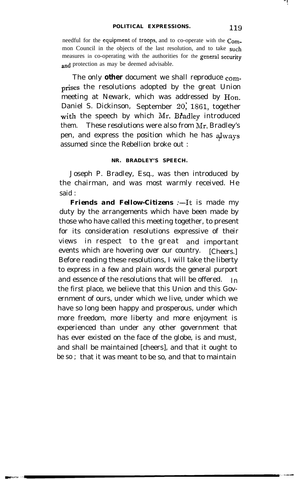needful for the equipment of troops, and to co-operate with the Common Council in the objects of the last resolution, and to take such measures in co-operating with the authorities for the general security and protection as may be deemed advisable.

The only **other** document we shall reproduce comprises the resolutions adopted by the great Union meeting at Newark, which was addressed by Hon. Daniel S. Dickinson, September 20, 1861, together with the speech by which Mr. Bradley introduced them. These resolutions were also from  $Mr$ . Bradley's pen, and express the position which he has  $a$ lways assumed since the Rebellion broke out :

# **NR. BRADLEY'S SPEECH.**

Joseph P. Bradley, Esq., was then introduced by the chairman, and was most warmly received. He said :

**Friends and Fellow-Citizens :- It is made my** duty by the arrangements which have been made by those who have called this meeting together, to present for its consideration resolutions expressive of their views in respect to the great and important events which are hovering over our country. [Cheers.] Before reading these resolutions, I will take the liberty to express in a few and plain words the general purport and essence of the resolutions that will be offered.  $I_n$ the first place, we believe that this Union and this Government of ours, under which we live, under which we have so long been happy and prosperous, under which more freedom, more liberty and more enjoyment is experienced than under any other government that has ever existed on the face of the globe, is and must, and shall be maintained [cheers], and that it ought to be so ; that it was meant to be so, and that to maintain

**" I .**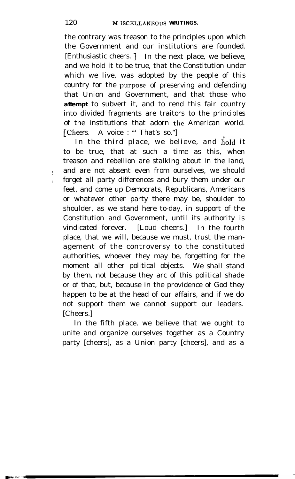the contrary was treason to the principles upon which the Government and our institutions are founded. [Enthusiastic cheers. ] In the next place, we believe, and we hold it to be true, that the Constitution under which we live, was adopted by the people of this country for the purpose of preserving and defending that Union and Government, and that those who **attempt** to subvert it, and to rend this fair country into divided fragments are traitors to the principles of the institutions that adorn the American world. [Cheers. A voice : "That's so."]

In the third place, we believe, and hold it to be true, that at such a time as this, when treason and rebellion are stalking about in the land, and are not absent even from ourselves, we should forget all party differences and bury them under our feet, and come up Democrats, Republicans, Americans or whatever other party there may be, shoulder to shoulder, as we stand here to-day, in support of the Constitution and Government, until its authority is vindicated forever. [Loud cheers.] In the fourth place, that we will, because we must, trust the management of the controversy to the constituted authorities, whoever they may be, forgetting for the moment all other political objects. We shall stand by them, not because they arc of this political shade or of that, but, because in the providence of God they happen to be at the head of our affairs, and if we do not support them we cannot support our leaders. [Cheers.]

In the fifth place, we believe that we ought to unite and organize ourselves together as a Country party [cheers], as a Union party [cheers], and as a

I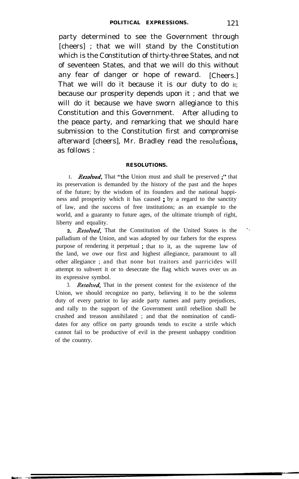party determined to see the Government through [cheers] ; that we will stand by the Constitution which is the Constitution of thirty-three States, and not of seventeen States, and that we will do this without any fear of danger or hope of reward. [Cheers.] That we will do it because it is our duty to do it; because our prosperity depends upon it ; and that we will do it because we have sworn allegiance to this Constitution and this Government. After alluding to the peace party, and remarking that we should hare submission to the Constitution first and compromise afterward  $[cheers]$ , Mr. Bradley read the resolutions, as follows :

### **RESOLUTIONS.**

I. *Resolved*, That "the Union must and shall be preserved ;" that its preservation is demanded by the history of the past and the hopes of the future; by the wisdom of its founders and the national happiness and prosperity which it has caused ; by a regard to the sanctity of law, and the success of free institutions; as an example to the world, and a guaranty to future ages, of the ultimate triumph of right, liberty and equality.

**2.** Resolved, That the Constitution of the United States is the palladium of the Union, and was adopted by our fathers for the express purpose of rendering it perpetual ; that to it, as the supreme law of the land, we owe our first and highest allegiance, paramount to all other allegiance ; and that none but traitors and parricides will attempt to subvert it or to desecrate the flag which waves over us as its expressive symbol.

3. Resolved, That in the present contest for the existence of the Union, we should recognize no party, believing it to be the solemn duty of every patriot to lay aside party names and party prejudices, and rally to the support of the Government until rebellion shall be crushed and treason annihilated ; and that the nomination of candidates for any office on party grounds tends to excite a strife which cannot fail to be productive of evil in the present unhappy condition of the country.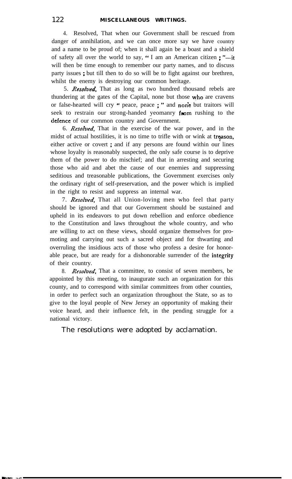4. Resolved, That when our Government shall be rescued from danger of annihilation, and we can once more say we have country and a name to be proud of; when it shall again be a boast and a shield of safety all over the world to say, " I am an American citizen ; " $-i$ t will then be time enough to remember our party names, and to discuss party issues ; but till then to do so will be to fight against our brethren, whilst the enemy is destroying our common heritage.

5. Resolved, That as long as two hundred thousand rebels are thundering at the gates of the Capital, none but those who are cravens or false-hearted will cry " peace, peace ; " and non'e but traitors will seek to restrain our strong-handed yeomanry from rushing to the defence of our common country and Government.

6. Resolved, That in the exercise of the war power, and in the midst of actual hostilities, it is no time to trifle with or wink at treason, either active or covert ; and if any persons are found within our lines whose loyalty is reasonably suspected, the only safe course is to deprive them of the power to do mischief; and that in arresting and securing those who aid and abet the cause of our enemies and suppressing seditious and treasonable publications, the Government exercises only the ordinary right of self-preservation, and the power which is implied in the right to resist and suppress an internal war.

7. Resolved, That all Union-loving men who feel that party should be ignored and that our Government should be sustained and upheld in its endeavors to put down rebellion and enforce obedience to the Constitution and laws throughout the whole country, and who are willing to act on these views, should organize themselves for promoting and carrying out such a sacred object and for thwarting and overruling the insidious acts of those who profess a desire for honorable peace, but are ready for a dishonorable surrender of the integrity of their country.

8. Resolved, That a committee, to consist of seven members, be appointed by this meeting, to inaugurate such an organization for this county, and to correspond with similar committees from other counties, in order to perfect such an organization throughout the State, so as to give to the loyal people of New Jersey an opportunity of making their voice heard, and their influence felt, in the pending struggle for a national victory.

The resolutions were adopted by acclamation.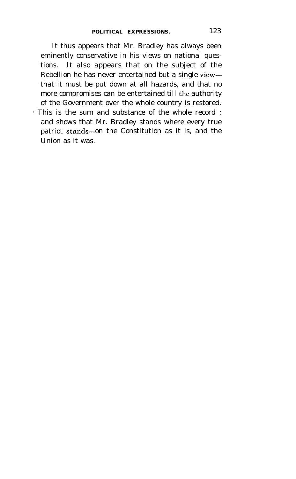It thus appears that Mr. Bradley has always been eminently conservative in his views on national questions. It also appears that on the subject of the Rebellion he has never entertained but a single viewthat it must be put down at all hazards, and that no more compromises can be entertained till the authority of the Government over the whole country is restored. 1 This is the sum and substance of the whole record ; and shows that Mr. Bradley stands where every true patriot stands-on the Constitution as it is, and the

Union as it was.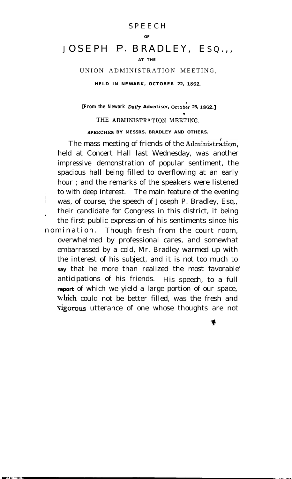## SPEECH

#### **OF**

# JOSEPH P. BRADLEY, EsQ.,,

### **AT THE**

UNION ADMINISTRATION MEETING,

**HELD IN NEWARK, OCTOBER 22, 1562.**

**[From the Newark** *Daily Advertiser, October 23, 1862.]* THE ADMINISTRATION MEETING. **SPBECHES BY MESSRS. BRADLEY AND OTHERS.**

**.** The mass meeting of friends of the Administration, held at Concert Hall last Wednesday, was another impressive demonstration of popular sentiment, the spacious hall being filled to overflowing at an early hour ; and the remarks of the speakers were listened I to with deep interest. The main feature of the evening was, of course, the speech of Joseph P. Bradley, Esq., their candidate for Congress in this district, it being the first public expression of his sentiments since his nomination. Though fresh from the court room, overwhelmed by professional cares, and somewhat embarrassed by a cold, Mr. Bradley warmed up with the interest of his subject, and it is not too much to **say** that he more than realized the most favorable' anticipations of his friends. His speech, to a full **report** of which we yield a large portion of our space, which could not be better filled, was the fresh and vigorous utterance of one whose thoughts are not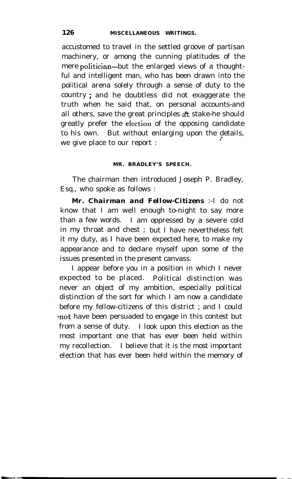accustomed to travel in the settled groove of partisan machinery, or among the cunning platitudes of the mere politician-but the enlarged views of a thoughtful and intelligent man, who has been drawn into the political arena solely through a sense of duty to the country ; and he doubtless did not exaggerate the truth when he said that, on personal accounts-and all others, save the great principles a't stake-he should greatly prefer the election of the opposing candidate to his own. But without enlarging upon the details, we give place to our report : *<sup>i</sup>*

## **MR. BRADLEY'S SPEECH.**

The chairman then introduced Joseph P. Bradley, Esq., who spoke as follows :

*Mr. Chairman and Fellow-Citizens* :-I do not know that I am well enough to-night to say more than a few words. I am oppressed by a severe cold in my throat and chest ; but I have nevertheless felt it my duty, as I have been expected here, to make my appearance and to declare myself upon some of the issues presented in the present canvass.

I appear before you in a position in which I never expected to be placed. Political distinction was never an object of my ambition, especially political distinction of the sort for which I am now a candidate before my fellow-citizens of this district ; and I could not have been persuaded to engage in this contest but from a sense of duty. I look upon this election as the most important one that has ever been held within my recollection. I believe that it is the most important election that has ever been held within the memory of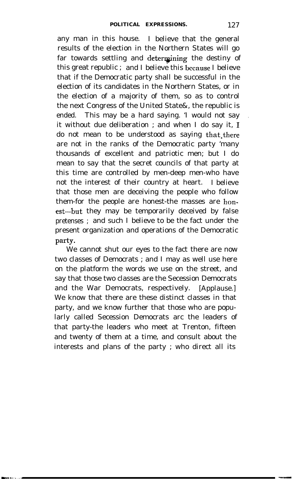any man in this house. I believe that the general results of the election in the Northern States will go far towards settling and determining the destiny of this great republic ; and I believe this because I believe that if the Democratic party shall be successful in the election of its candidates in the Northern States, or in the election of a majority of them, so as to control the next Congress of the United State&, the republic is ended. This may be a hard saying. 'I would not say it without due deliberation ; and when I do say it, I do not mean to be understood as saying that there are not in the ranks of the Democratic party 'many thousands of excellent and patriotic men; but I do mean to say that the secret councils of that party at this time are controlled by men-deep men-who have not the interest of their country at heart. I believe that those men are deceiving the people who follow them-for the people are honest-the masses are hon est-but they may be temporarily deceived by false pretenses ; and such I believe to be the fact under the present organization and operations of the Democratic party.

We cannot shut our eyes to the fact there are now two classes of Democrats ; and I may as well use here on the platform the words we use on the street, and say that those two classes are the Secession Democrats and the War Democrats, respectively. [Applause.] We know that there are these distinct classes in that party, and we know further that those who are popularly called Secession Democrats arc the leaders of that party-the leaders who meet at Trenton, fifteen and twenty of them at a time, and consult about the interests and plans of the party ; who direct all its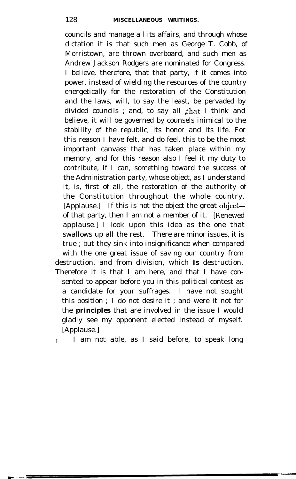councils and manage all its affairs, and through whose dictation it is that such men as George T. Cobb, of Morristown, are thrown overboard, and such men as Andrew Jackson Rodgers are nominated for Congress. I believe, therefore, that that party, if it comes into power, instead of wielding the resources of the country energetically for the restoration of the Constitution and the laws, will, to say the least, be pervaded by divided councils ; and, to say all that I think and believe, it will be governed by counsels inimical to the stability of the republic, its honor and its life. For this reason I have felt, and do feel, this to be the most important canvass that has taken place within my memory, and for this reason also I feel it my duty to contribute, if I can, something toward the success of the Administration party, whose object, as I understand it, is, first of all, the restoration of the authority of the Constitution throughout the whole country. [Applause.] If this is not the object-the great objectof that party, then I am not a member of it. [Renewed applause.] I look upon this idea as the one that swallows up all the rest. There are minor issues, it is : true ; but they sink into insignificance when compared with the one great issue of saving our country from destruction, and from division, which *is* destruction. Therefore it is that I am here, and that I have consented to appear before you in this political contest as a candidate for your suffrages. I have not sought this position ; I do not desire it ; and were it not for / the *principles* that are involved in the issue I would gladly see my opponent elected instead of myself. [Applause.]

I am not able, as I said before, to speak long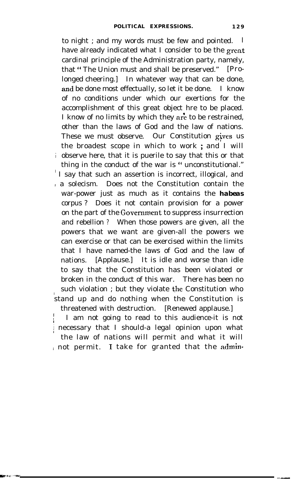to night ; and my words must be few and pointed. I have already indicated what I consider to be the great cardinal principle of the Administration party, namely, that " The Union must and shall be preserved." [Prolonged cheering.] In whatever way that can be done, and be done most effectually, so let it be done. I know of no conditions under which our exertions for the accomplishment of this great object hre to be placed. I know of no limits by which they are to be restrained, other than the laws of God and the law of nations. These we must observe. Our Constitution gives us the broadest scope in which to work ; and I will  $\frac{1}{2}$  observe here, that it is puerile to say that this or that thing in the conduct of the war is " unconstitutional."

I say that such an assertion is incorrect, illogical, and  $\alpha$  a solecism. Does not the Constitution contain the war-power just as much as it contains the *habeas* corpus ? Does it not contain provision for a power on the part of the Government to suppress insurrection and rebellion ? When those powers are given, all the powers that we want are given-all the powers we can exercise or that can be exercised within the limits that I have named-the laws of God and the law of nations. [Applause.] It is idle and worse than idle to say that the Constitution has been violated or broken in the conduct of this war. There has been no such violation; but they violate the Constitution who stand up and do nothing when the Constitution is threatened with destruction. [Renewed applause.]

**In the contract of the contract of the contract of the contract of the contract of the contract of the contract of the contract of the contract of the contract of the contract of the contract of the contract of the contra**  $\mathbf{I}$ I am not going to read to this audience-it is not necessary that I should-a legal opinion upon what the law of nations will permit and what it will / not permit. I take for granted that the admin-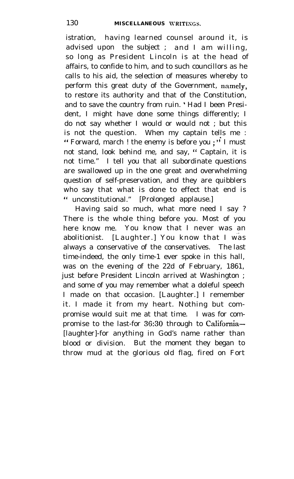istration, having learned counsel around it, is advised upon the subject ; and I am willing, so long as President Lincoln is at the head of affairs, to confide to him, and to such councillors as he calls to his aid, the selection of measures whereby to perform this great duty of the Government, namely, to restore its authority and that of the Constitution, and to save the country from ruin. ' Had I been President, I might have done some things differently; I do not say whether I would or would not ; but this is not the question. When my captain tells me : " Forward, march ! the enemy is before you  $:$   $\overrightarrow{I}$  I must not stand, look behind me, and say, " Captain, it is not time." I tell you that all subordinate questions are swallowed up in the one great and overwhelming question of self-preservation, and they are quibblers who say that what is done to effect that end is " unconstitutional." [Prolonged applause.]

Having said so much, what more need I say ? There is the whole thing before you. Most of you here know me. You know that I never was an abolitionist. [Laughter.] You know that I was always a conservative of the conservatives. The last time-indeed, the only time-1 ever spoke in this hall, was on the evening of the 22d of February, 1861, just before President Lincoln arrived at Washington ; and some of you may remember what a doleful speech I made on that occasion. [Laughter.] I remember it. I made it from my heart. Nothing but compromise would suit me at that time. I was for compromise to the last-for 36:30 through to Califomia- [laughter]-for anything in God's name rather than blood or division. But the moment they began to throw mud at the glorious old flag, fired on Fort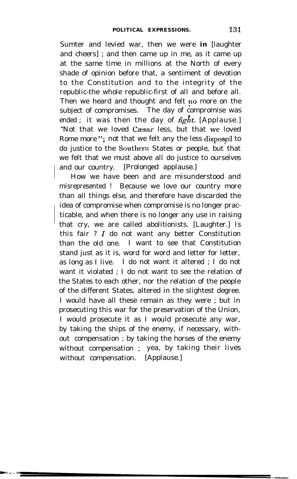Sumter and levied war, then we were *in* [laughter and cheers] ; and then came up in me, as it came up at the same time in millions at the North of every shade of opinion before that, a sentiment of devotion to the Constitution and to the integrity of the republic-the whole republic-first of all and before all. Then we heard and thought and felt no more on the subject of compromises. The day of compromise was ended; it was then the day of  $\hat{h}ght$ . [Applause.] "Not that we loved Cæsar less, but that we loved Rome more "; not that we felt any the less disposed to do justice to the Southern States or people, but that we felt that we must above all do justice to ourselves and our country. [Prolonged applause.]

How we have been and are misunderstood and misrepresented ! Because we love our country more than all things else, and therefore have discarded the idea of compromise when compromise is no longer practicable, and when there is no longer any use in raising that cry, we are called abolitionists. [Laughter.] Is this fair  $? I$  do not want any better Constitution than the old one. I want to see that Constitution stand just as it is, word for word and letter for letter, as long as I live. I do not want it altered ; I do not want it violated ; I do not want to see the relation of the States to each other, nor the relation of the people of the different States, altered in the slightest degree. I would have all these remain as they were ; but in prosecuting this war for the preservation of the Union, I would prosecute it as I would prosecute any war, by taking the ships of the enemy, if necessary, without compensation ; by taking the horses of the enemy without compensation ; yea, by taking their lives without compensation. [Applause.]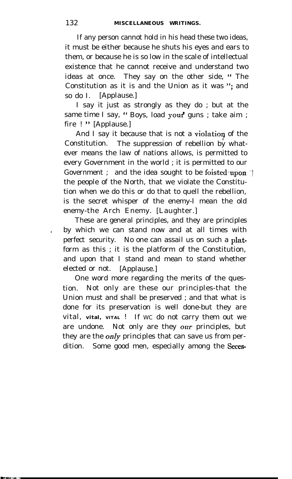If any person cannot hold in his head these two ideas, it must be either because he shuts his eyes and ears to them, or because he is so low in the scale of intellectual existence that he cannot receive and understand two ideas at once. They say on the other side, "The Constitution as it is and the Union as it was "; and so do I. [Applause.]

I say it just as strongly as they do ; but at the same time I say, " Boys, load your' guns ; take aim ; fire ! " [Applause.]

And I say it because that is not a violation of the Constitution. The suppression of rebellion by whatever means the law of nations allows, is permitted to every Government in the world ; it is permitted to our Government ; and the idea sought to be foisted upon. the people of the North, that we violate the Constitution when we do this or do that to quell the rebellion, is the secret whisper of the enemy-I mean the old enemy-the Arch Enemy. [Laughter.]

These are general principles, and they are principles / by which we can stand now and at all times with perfect security. No one can assail us on such a platform as this ; it is the platform of the Constitution, and upon that I stand and mean to stand whether elected or not. [Applause.]

One word more regarding the merits of the question. Not only are these our principles-that the Union must and shall be preserved ; and that what is done for its preservation is well done-but they are vital, vital, VITAL ! If WC do not carry them out we are undone. Not only are they our principles, but they are the *only* principles that can save us from perdition. Some good men, especially among the Seces-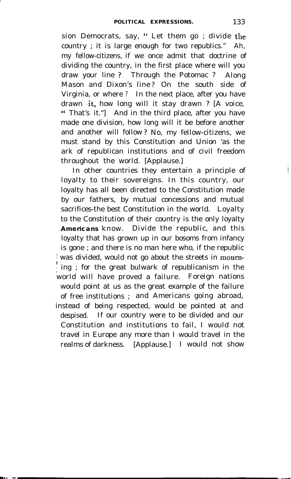sion Democrats, say, " Let them go ; divide the country ; it is large enough for two republics." Ah, my fellow-citizens, if we once admit that doctrine of dividing the country, in the first place where will you draw your line ? Through the Potomac ? Along Mason and Dixon's line ? On the south side of Virginia, or where ? In the next place, after you have drawn .it, how long will it stay drawn ? [A voice, " That's it."] And in the third place, after you have made one division, how long will it be before another and another will follow ? No, my fellow-citizens, we must stand by this Constitution and Union 'as the ark of republican institutions and of civil freedom throughout the world. [Applause.]

In other countries they entertain a principle of loyalty to their sovereigns. In this country, our loyalty has all been directed to the Constitution made by our fathers, by mutual concessions and mutual sacrifices-the best Constitution in the world. Loyalty to the Constitution of their country is the only loyalty **Americans** know. Divide the republic, and this loyalty that has grown up in our bosoms from infancy is gone ; and there is no man here who, if the republic was divided, would not go about the streets in mourn-<sup>I</sup> ; ing ; for the great bulwark of republicanism in the world will have proved a failure. Foreign nations would point at us as the great example of the failure of free institutions ; and Americans going abroad, instead of being respected, would be pointed at and despised. If our country were to be divided and our Constitution and institutions to fail, I would not travel in Europe any more than I would travel in the realms of darkness. [Applause.] I would not show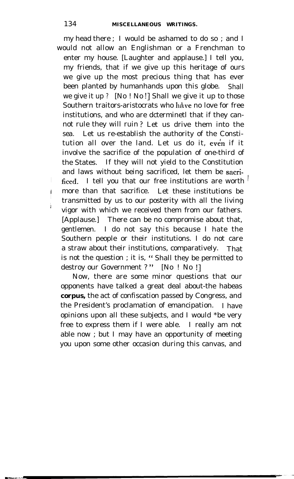my head there ; I would be ashamed to do so ; and I would not allow an Englishman or a Frenchman to enter my house. [Laughter and applause.] I tell you, my friends, that if we give up this heritage of ours we give up the most precious thing that has ever been planted by humanhands upon this globe. Shall we give it up ? [No ! No !] Shall we give it up to those Southern traitors-aristocrats who have no love for free institutions, and who are dcterminetl that if they cannot rule they will ruin ? Let us drive them into the sea. Let us re-establish the authority of the Constitution all over the land. Let us do it, even if it involve the sacrifice of the population of one-third of the States. If they will not yield to the Constitution and laws without being sacrificed, let them be sacrificed. I tell you that our free institutions are worth  $\frac{1}{x}$ more than that sacrifice. Let these institutions be transmitted by us to our posterity with all the living vigor with which we received them from our fathers. [Applause.] There can be no compromise about that, gentlemen. I do not say this because I hate the Southern people or their institutions. I do not care a straw about their institutions, comparatively. That is not the question ; it is, " Shall they be permitted to destroy our Government ?" [No ! No !]

Now, there are some minor questions that our opponents have talked a great deal about-the habeas *corpus,* the act of confiscation passed by Congress, and the President's proclamation of emancipation. I have opinions upon all these subjects, and I would \*be very free to express them if I were able. I really am not able now ; but I may have an opportunity of meeting you upon some other occasion during this canvas, and

I  $\frac{1}{2}$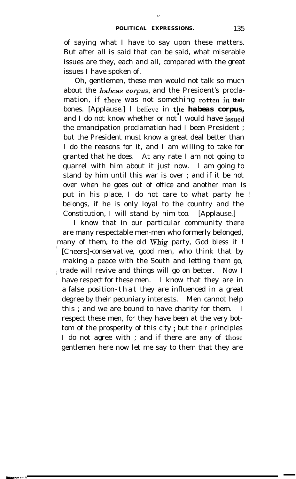I'

of saying what I have to say upon these matters. But after all is said that can be said, what miserable issues are they, each and all, compared with the great issues I have spoken of.

Oh, gentlemen, these men would not talk so much about the *habeas corpus*, and the President's proclamation, if there was not something rotten **in their** bones. [Applause.] I believe in the **habeas corpus,** and I do not know whether or not I would have issued the emancipation proclamation had I been President ; but the President must know a great deal better than I do the reasons for it, and I am willing to take for granted that he does. At any rate I am not going to quarrel with him about it just now. I am going to stand by him until this war is over ; and if it be not over when he goes out of office and another man is ! put in his place, I do not care to what party he ! belongs, if he is only loyal to the country and the Constitution, I will stand by him too. [Applause.]

I know that in our particular community there are many respectable men-men who formerly belonged, many of them, to the old Whig party, God bless it ! / [Cheers]-conservative, good men, who think that by making a peace with the South and letting them go, i trade will revive and things will go on better. Now I have respect for these men. I know that they are in a false position-that they are influenced in a great degree by their pecuniary interests. Men cannot help this ; and we are bound to have charity for them. I respect these men, for they have been at the very bottom of the prosperity of this city ; but their principles I do not agree with ; and if there are any of those gentlemen here now let me say to them that they are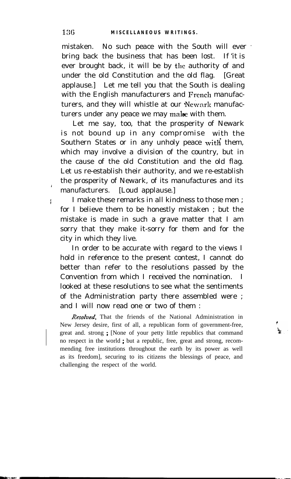mistaken. No such peace with the South will ever ' bring back the business that has been lost. If 'it is ever brought back, it will be by the authority of and under the old Constitution and the old flag. [Great applause.] Let me tell you that the South is dealing with the English manufacturers and French manufacturers, and they will whistle at our 'Newark manufacturers under any peace we may make with them.

Let me say, too, that the prosperity of Newark is not bound up in any compromise with the Southern States or in any unholy peace with them, which may involve a division of the country, but in the cause of the old Constitution and the old flag. Let us re-establish their authority, and we re-establish the prosperity of Newark, of its manufactures and its manufacturers. [Loud applause.]

I make these remarks in all kindness to those men ; for I believe them to be honestly mistaken ; but the mistake is made in such a grave matter that I am sorry that they make it-sorry for them and for the city in which they live.

In order to be accurate with regard to the views I hold in reference to the present contest, I cannot do better than refer to the resolutions passed by the Convention from which I received the nomination. I looked at these resolutions to see what the sentiments of the Administration party there assembled were ; and I will now read one or two of them :

Resolved, That the friends of the National Administration in New Jersey desire, first of all, a republican form of government-free, great and. strong ; [None of your petty little republics that command no respect in the world ; but a republic, free, great and strong, recommending free institutions throughout the earth by its power as well as its freedom], securing to its citizens the blessings of peace, and challenging the respect of the world.

<sup>1</sup>

I I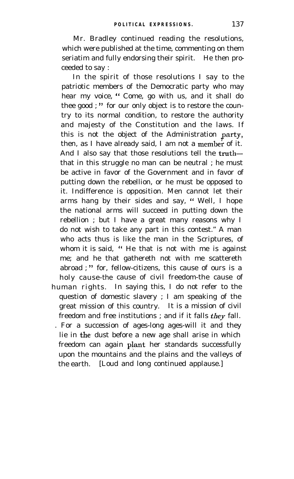Mr. Bradley continued reading the resolutions, which were published at the time, commenting on them seriatim and fully endorsing their spirit. He then proceeded to say :

In the spirit of those resolutions I say to the patriotic members of the Democratic party who may hear my voice, " Come, go with us, and it shall do thee good;" for our only object is to restore the country to its normal condition, to restore the authority and majesty of the Constitution and the laws. If this is not the object of the Administration party, then, as I have already said, I am not a member of it. And I also say that those resolutions tell the truththat in this struggle no man can be neutral ; he must be active in favor of the Government and in favor of putting down the rebellion, or he must be opposed to it. Indifference is opposition. Men cannot let their arms hang by their sides and say, " Well, I hope the national arms will succeed in putting down the rebellion ; but I have a great many reasons why I do not wish to take any part in this contest." A man who acts thus is like the man in the Scriptures, of whom it is said, "He that is not with me is against me; and he that gathereth not with me scattereth abroad ; " for, fellow-citizens, this cause of ours is a holy cause-the cause of civil freedom-the cause of human rights. In saying this, I do not refer to the question of domestic slavery ; I am speaking of the great mission of this country. It is a mission of civil freedom and free institutions; and if it falls  $they$  fall. . For a succession of ages-long ages-will it and they

lie in the. dust before a new age shall arise in which freedom can again plant her standards successfully upon the mountains and the plains and the valleys of the earth. [Loud and long continued applause.]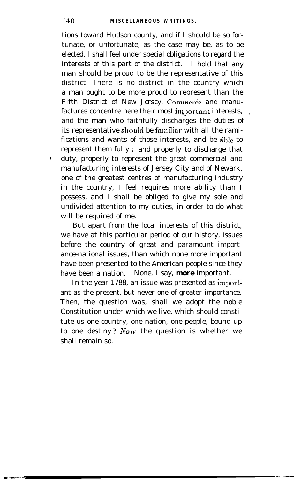tions toward Hudson county, and if I should be so fortunate, or unfortunate, as the case may be, as to be elected, I shall feel under special obligations to regard the interests of this part of the district. I hold that any man should be proud to be the representative of this district. There is no district in the country which a man ought to be more proud to represent than the Fifth District of New Jcrscy. Commerce and manufactures concentre here their most important interests, and the man who faithfully discharges the duties of its representative should be familiar with all the ramifications and wants of those interests, and be able to represent them fully ; and properly to discharge that ! duty, properly to represent the great commercial and manufacturing interests of Jersey City and of Newark, one of the greatest centres of manufacturing industry in the country, I feel requires more ability than I possess, and I shall be obliged to give my sole and undivided attention to my duties, in order to do what will be required of me.

But apart from the local interests of this district, we have at this particular period of our history, issues before the country of great and paramount importance-national issues, than which none more important have been presented to the American people since they have been a nation. None, I say, *more* important.

In the year 1788, an issue was presented as important as the present, but never one of greater importance. Then, the question was, shall we adopt the noble Constitution under which we live, which should constitute us one country, one nation, one people, bound up to one destiny? Now the question is whether we shall remain so.

I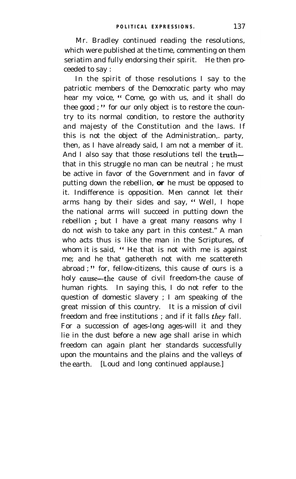Mr. Bradley continued reading the resolutions, which were published at the time, commenting on them seriatim and fully endorsing their spirit. He then proceeded to say :

In the spirit of those resolutions I say to the patriotic members of the Democratic party who may hear my voice, " Come, go with us, and it shall do thee good ; " for our only object is to restore the country to its normal condition, to restore the authority and majesty of the Constitution and the laws. If this is not the object of the Administration,. party, then, as I have already said, I am not a member of it. And I also say that those resolutions tell the truththat in this struggle no man can be neutral ; he must be active in favor of the Government and in favor of putting down the rebellion, *or* he must be opposed to it. Indifference is opposition. Men cannot let their arms hang by their sides and say, " Well, I hope the national arms will succeed in putting down the rebellion ; but I have a great many reasons why I do not wish to take any part in this contest." A man who acts thus is like the man in the Scriptures, of whom it is said, " He that is not with me is against me; and he that gathereth not with me scattereth abroad ; " for, fellow-citizens, this cause of ours is a holy cause—the cause of civil freedom-the cause of human rights. In saying this, I do not refer to the question of domestic slavery ; I am speaking of the great mission of this country. It is a mission of civil freedom and free institutions; and if it falls they fall. For a succession of ages-long ages-will it and they lie in the dust before a new age shall arise in which freedom can again plant her standards successfully upon the mountains and the plains and the valleys of the earth. [Loud and long continued applause.]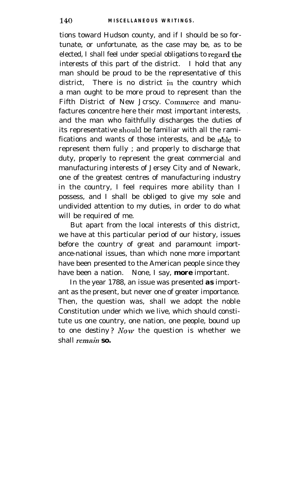tions toward Hudson county, and if I should be so fortunate, or unfortunate, as the case may be, as to be elected, I shall feel under special obligations to regard'the interests of this part of the district. I hold that any man should be proud to be the representative of this district, There is no district in the country which a man ought to be more proud to represent than the Fifth District of New Jcrscy. Commerce and manufactures concentre here their most important interests, and the man who faithfully discharges the duties of its representative should be familiar with all the ramifications and wants of those interests, and be ahle to represent them fully ; and properly to discharge that duty, properly to represent the great commercial and manufacturing interests of Jersey City and of Newark, one of the greatest centres of manufacturing industry in the country, I feel requires more ability than I possess, and I shall be obliged to give my sole and undivided attention to my duties, in order to do what will be required of me.

But apart from the local interests of this district, we have at this particular period of our history, issues before the country of great and paramount importance-national issues, than which none more important have been presented to the American people since they have been a nation. None, I say, *more* important.

In the year 1788, an issue was presented *as* important as the present, but never one of greater importance. Then, the question was, shall we adopt the noble Constitution under which we live, which should constitute us one country, one nation, one people, bound up to one destiny? Now the question is whether we shall *remain so.*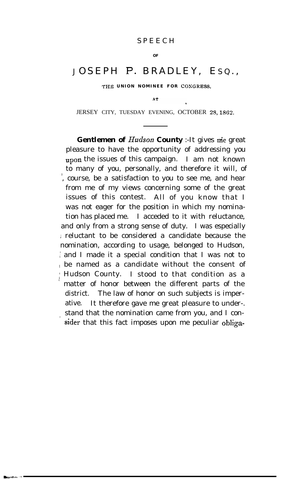## SPEECH

### **OF**

# JOSEPH P. BRADLEY, EsQ.,

THE UNION NOMINEE FOR CONGRESS,

 $\Lambda$  T

JERSEY CITY, TUESDAY EVENING, OCTOBER 28, 1862.

Gentlemen of Hudson County :- It gives me great pleasure to have the opportunity of addressing you **upon** the issues of this campaign. I am not known to many of you, personally, and therefore it will, of / , course, be a satisfaction to you to see me, and hear from me of my views concerning some of the great issues of this contest. All of you know that I was not eager for the position in which my nomination has placed me. I acceded to it with reluctance, and only from a strong sense of duty. I was especially i reluctant to be considered a candidate because the nomination, according to usage, belonged to Hudson, and I made it a special condition that I was not to 1 be named as a candidate without the consent of Hudson County. I stood to that condition as a matter of honor between the different parts of the district. The law of honor on such subjects is imperative. It therefore gave me great pleasure to under-. stand that the nomination came from you, and I consider that this fact imposes upon me peculiar obliga-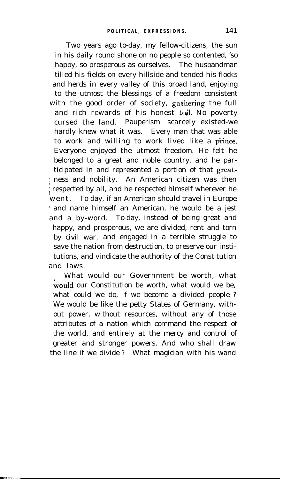Two years ago to-day, my fellow-citizens, the sun in his daily round shone on no people so contented, 'so happy, so prosperous as ourselves. The husbandman tilled his fields on every hillside and tended his flocks and herds in every valley of this broad land, enjoying to the utmost the blessings of a freedom consistent with the good order of society, gathering the full and rich rewards of his honest toil. No poverty cursed the land. Pauperism scarcely existed-we hardly knew what it was. Every man that was able to work and willing to work lived like a prince. Everyone enjoyed the utmost freedom. He felt he belonged to a great and noble country, and he participated in and represented a portion of that greatj ness and nobility. An American citizen was then respected by all, and he respected himself wherever he went. To-day, if an American should travel in Europe ' and name himself an American, he would be a jest and a by-word. To-day, instead of being great and  $\pm$  happy, and prosperous, we are divided, rent and torn by civil war, and engaged in a terrible struggle to save the nation from destruction, to preserve our institutions, and vindicate the authority of the Constitution and laws.

What would our Government be worth, what would our Constitution be worth, what would we be, what could we do, if we become a divided people ? We would be like the petty States of Germany, without power, without resources, without any of those attributes of a nation which command the respect of the world, and entirely at the mercy and control of greater and stronger powers. And who shall draw the line if we divide ? What magician with his wand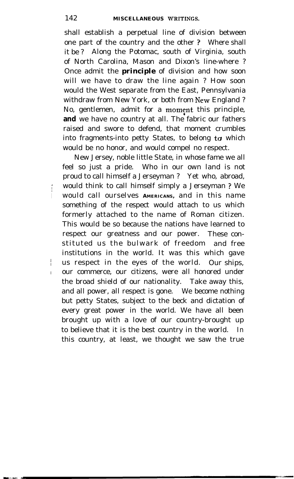shall establish a perpetual line of division between one part of the country and the other ? Where shall it be ? Along the Potomac, south of Virginia, south of North Carolina, Mason and Dixon's line-where ? Once admit the *principle* of division and how soon will we have to draw the line again ? How soon would the West separate from the East, Pennsylvania withdraw from New York, or both from New England ? No, gentlemen, admit for a moment this principle, **and** we have no country at all. The fabric our fathers raised and swore to defend, that moment crumbles into fragments-into petty States, to belong to which would be no honor, and would compel no respect.

New Jersey, noble little State, in whose fame we all feel so just a pride. Who in our own land is not proud to call himself a Jerseyman ? Yet who, abroad, would think to call himself simply a Jerseyman ? We <sup>I</sup> would call ourselves **AMERICANS,** and in this name something of the respect would attach to us which formerly attached to the name of Roman citizen. This would be so because the nations have learned to respect our greatness and our power. These constituted us the bulwark of freedom and free institutions in the world. It was this which gave us respect in the eyes of the world. Our ships, I our commerce, our citizens, were all honored under the broad shield of our nationality. Take away this, and all power, all respect is gone. We become nothing but petty States, subject to the beck and dictation of every great power in the world. We have all been brought up with a love of our country-brought up to believe that it is the best country in the world. In this country, at least, we thought we saw the true

<sup>1</sup>

I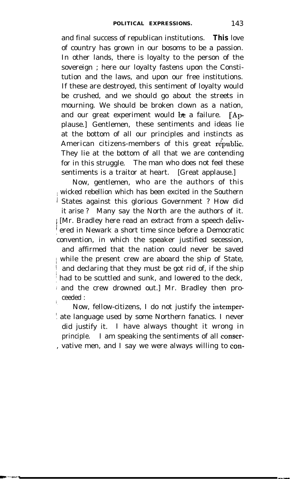and final success of republican institutions. **This** love of country has grown in our bosoms to be a passion. In other lands, there is loyalty to the person of the sovereign ; here our loyalty fastens upon the Constitution and the laws, and upon our free institutions. If these are destroyed, this sentiment of loyalty would be crushed, and we should go about the streets in mourning. We should be broken clown as a nation, and our great experiment would be a failure.  $\int A$ pplause.] Gentlemen, these sentiments and ideas lie at the bottom of all our principles and instincts as American citizens-members of this great  $\vec{repubic}$ . They lie at the bottom of all that we are contending for in this struggle. The man who does not feel these sentiments is a traitor at heart. [Great applause.]

Now, gentlemen, who are the authors of this l wicked rebellion which has been excited in the Southern 1 States against this glorious Government ? How did it arise ? Many say the North are the authors of it. / [Mr. Bradley here read an extract from a speech delivered in Newark a short time since before a Democratic convention, in which the speaker justified secession, and affirmed that the nation could never be saved / while the present crew are aboard the ship of State, and declaring that they must be got rid of, if the ship had to be scuttled and sunk, and lowered to the deck, 1 and the crew drowned out.] Mr. Bradley then proceeded :

Now, fellow-citizens, I do not justify the intemper-! ate language used by some Northern fanatics. I never did justify it. I have always thought it wrong in principle. I am speaking the sentiments of all conser- , vative men, and I say we were always willing to con-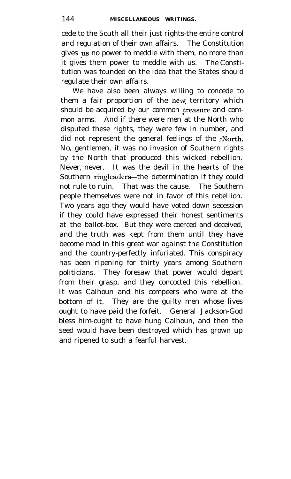cede to the South all their just rights-the entire control and regulation of their own affairs. The Constitution gives us no power to meddle with them, no more than it gives them power to meddle with us. The Constitution was founded on the idea that the States should regulate their own affairs.

We have also been always willing to concede to them a fair proportion of the new territory which should be acquired by our common treasure and common arms. And if there were men at the North who disputed these rights, they were few in number, and did not represent the general feelings of the ;North. No, gentlemen, it was no invasion of Southern rights by the North that produced this wicked rebellion. Never, never. It was the devil in the hearts of the Southern ringleaders-the determination if they could not rule to ruin. That was the cause. The Southern people themselves were not in favor of this rebellion. Two years ago they would have voted down secession if they could have expressed their honest sentiments at the ballot-box. But they were coerced and deceived, and the truth was kept from them until they have become mad in this great war against the Constitution and the country-perfectly infuriated. This conspiracy has been ripening for thirty years among Southern politicians. They foresaw that power would depart from their grasp, and they concocted this rebellion. It was Calhoun and his compeers who were at the bottom of it. They are the guilty men whose lives ought to have paid the forfeit. General Jackson-God bless him-ought to have hung Calhoun, and then the seed would have been destroyed which has grown up and ripened to such a fearful harvest.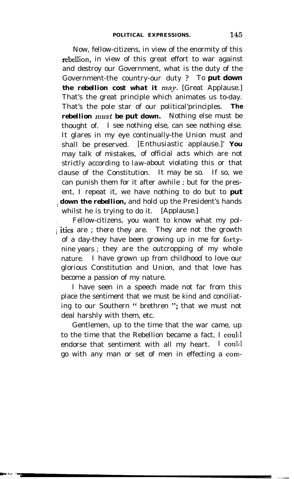Now, fellow-citizens, in view of the enormity of this rebellion, in view of this great effort to war against and destroy our Government, what is the duty of the Government-the country-our duty ? To *put down the rebellion cost what it may.* [Great Applause.] That's the great principle which animates us to-day. That's the pole star of our political'principles. *The rebellion must be put down.* Nothing else must be thought of. I see nothing else, can see nothing else. It glares in my eye continually-the Union must and shall be preserved. [Enthusiastic applause.]' *You* may talk of mistakes, of official acts which are not strictly according to law-about violating this or that clause of the Constitution. It may be so. If so, we can punish them for it after awhile ; but for the present, I repeat it, we have nothing to do but to *put / down the rebellion,* and hold up the President's hands whilst he is trying to do it. [Applause.]

Fellow-citizens, you want to know what my pol<sup>i</sup> itics are ; there they are. They are not the growth of a day-they have been growing up in me for fortynine years ; they are the outcropping of my whole nature. I have grown up from childhood to love our glorious Constitution and Union, and that love has become a passion of my nature.

I have seen in a speech made not far from this place the sentiment that we must be kind and conciliating to our Southern " brethren "; that we must not deal harshly with them, etc.

Gentlemen, up to the time that the war came, up to the time that the Rebellion became a fact, I coul:l endorse that sentiment with all my heart. I could go with any man or set of men in effecting a com-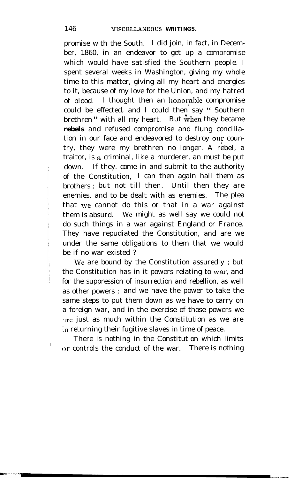promise with the South. I did join, in fact, in December, 1860, in an endeavor to get up a compromise which would have satisfied the Southern people. I spent several weeks in Washington, giving my whole time to this matter, giving all my heart and energies to it, because of my love for the Union, and my hatred of blood. I thought then an honorable compromise could be effected, and I could then say " Southern brethren" with all my heart. But when they became *rebels* and refused compromise and flung conciliation in our face and endeavored to destroy our country, they were my brethren no longer. A rebel, a traitor, is a criminal, like a murderer, an must be put down. If they. come in and submit to the authority of the Constitution, I can then again hail them as brothers ; but not till then. Until then they are enemies, and to be dealt with as enemies. The plea that we cannot do this or that in a war against them is absurd. We might as well say we could not do such things in a war against England or France. They have repudiated the Constitution, and are we under the same obligations to them that we would be if no war existed ?

We are bound by the Constitution assuredly ; but the Constitution has in it powers relating to war, and for the suppression of insurrection and rebellion, as well as other powers ; and we have the power to take the same steps to put them down as we have to carry on a foreign war, and in the exercise of those powers we are just as much within the Constitution as we are In returning their fugitive slaves in time of peace.

There is nothing in the Constitution which limits or controls the conduct of the war. There is nothing

<sup>I</sup>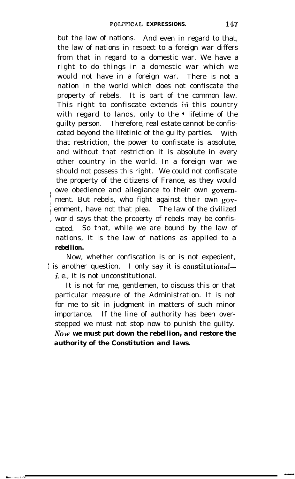but the law of nations. And even in regard to that, the law of nations in respect to a foreign war differs from that in regard to a domestic war. We have a right to do things in a domestic war which we would not have in a foreign war. There is not a nation in the world which does not confiscate the property of rebels. It is part of the common law. This right to confiscate extends in this country with regard to lands, only to the • lifetime of the guilty person. Therefore, real estate cannot be confiscated beyond the lifetinic of the guilty parties. With that restriction, the power to confiscate is absolute, and without that restriction it is absolute in every other country in the world. In a foreign war we should not possess this right. We could not confiscate the property of the citizens of France, as they would owe obedience and allegiance to their own government. But rebels, who fight against their own govemment, have not that plea. The law of the civilized world says that the property of rebels may be confiscated. So that, while we are bound by the law of nations, it is the law of nations as applied to a *rebellion.*

Now, whether confiscation is or is not expedient, is another question. I only say it is constitutionali. e., it is not unconstitutional.

It is not for me, gentlemen, to discuss this or that particular measure of the Administration. It is not for me to sit in judgment in matters of such minor importance. If the line of authority has been overstepped we must not stop now to punish the guilty. *hTow we must put down the rebellion, and restore the authority of the Constitution and laws.*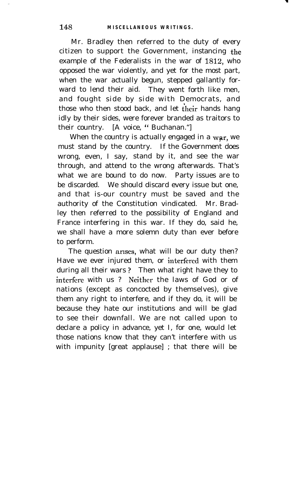Mr. Bradley then referred to the duty of every citizen to support the Government, instancing the example of the Federalists in the war of 1812, who opposed the war violently, and yet for the most part, when the war actually begun, stepped gallantly forward to lend their aid. They went forth like men, and fought side by side with Democrats, and those who then stood back, and let their hands hang idly by their sides, were forever branded as traitors to their country. [A voice, "Buchanan."]

When the country is actually engaged in a war, we must stand by the country. If the Government does wrong, even, I say, stand by it, and see the war through, and attend to the wrong afterwards. That's what we are bound to do now. Party issues are to be discarded. We should discard every issue but one, and that is-our country must be saved and the authority of the Constitution vindicated. Mr. Bradley then referred to the possibility of England and France interfering in this war. If they do, said he, we shall have a more solemn duty than ever before to perform.

The question arises, what will be our duty then? Have we ever injured them, or interfered with them during all their wars ? Then what right have they to intcrfcre with us ? Neither the laws of God or of nations (except as concocted by themselves), give them any right to interfere, and if they do, it will be because they hate our institutions and will be glad to see their downfall. We are not called upon to declare a policy in advance, yet I, for one, would let those nations know that they can't interfere with us with impunity [great applause] ; that there will be